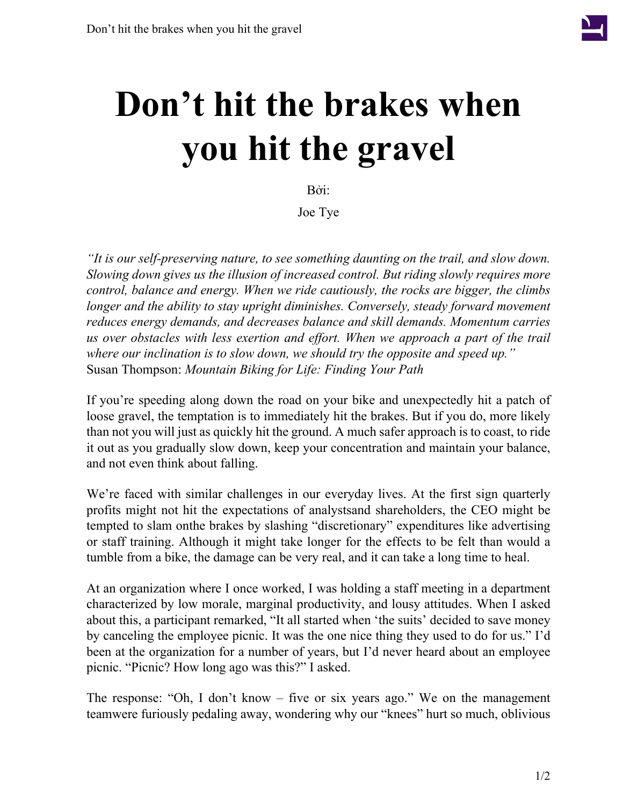

## **Don't hit the brakes when you hit the gravel**

Bởi:

Joe Tye

*"It is our self-preserving nature, to see something daunting on the trail, and slow down. Slowing down gives us the illusion of increased control. But riding slowly requires more control, balance and energy. When we ride cautiously, the rocks are bigger, the climbs longer and the ability to stay upright diminishes. Conversely, steady forward movement reduces energy demands, and decreases balance and skill demands. Momentum carries us over obstacles with less exertion and effort. When we approach a part of the trail where our inclination is to slow down, we should try the opposite and speed up."* Susan Thompson: *Mountain Biking for Life: Finding Your Path*

If you're speeding along down the road on your bike and unexpectedly hit a patch of loose gravel, the temptation is to immediately hit the brakes. But if you do, more likely than not you will just as quickly hit the ground. A much safer approach is to coast, to ride it out as you gradually slow down, keep your concentration and maintain your balance, and not even think about falling.

We're faced with similar challenges in our everyday lives. At the first sign quarterly profits might not hit the expectations of analystsand shareholders, the CEO might be tempted to slam onthe brakes by slashing "discretionary" expenditures like advertising or staff training. Although it might take longer for the effects to be felt than would a tumble from a bike, the damage can be very real, and it can take a long time to heal.

At an organization where I once worked, I was holding a staff meeting in a department characterized by low morale, marginal productivity, and lousy attitudes. When I asked about this, a participant remarked, "It all started when 'the suits' decided to save money by canceling the employee picnic. It was the one nice thing they used to do for us." I'd been at the organization for a number of years, but I'd never heard about an employee picnic. "Picnic? How long ago was this?" I asked.

The response: "Oh, I don't know – five or six years ago." We on the management teamwere furiously pedaling away, wondering why our "knees" hurt so much, oblivious